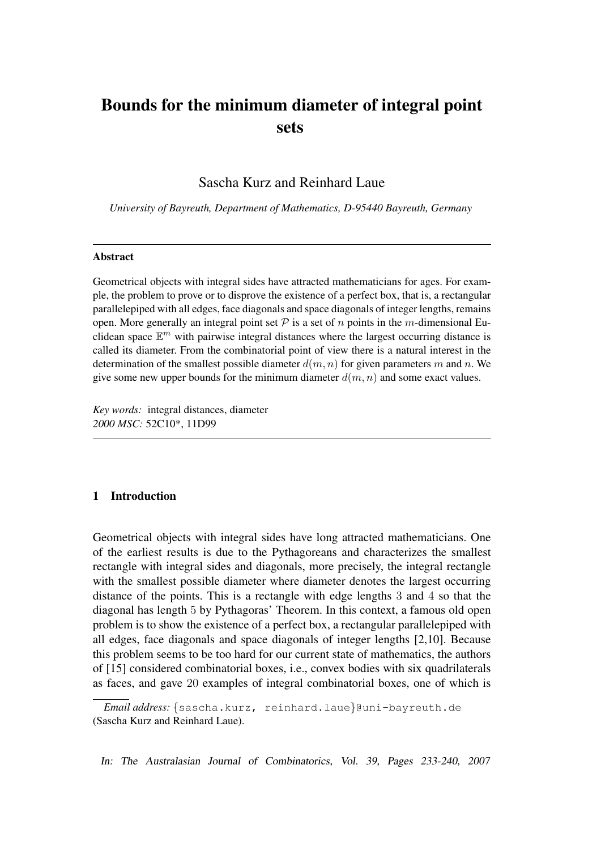# Bounds for the minimum diameter of integral point sets

Sascha Kurz and Reinhard Laue

*University of Bayreuth, Department of Mathematics, D-95440 Bayreuth, Germany*

#### Abstract

Geometrical objects with integral sides have attracted mathematicians for ages. For example, the problem to prove or to disprove the existence of a perfect box, that is, a rectangular parallelepiped with all edges, face diagonals and space diagonals of integer lengths, remains open. More generally an integral point set  $\mathcal P$  is a set of n points in the m-dimensional Euclidean space  $\mathbb{E}^m$  with pairwise integral distances where the largest occurring distance is called its diameter. From the combinatorial point of view there is a natural interest in the determination of the smallest possible diameter  $d(m, n)$  for given parameters m and n. We give some new upper bounds for the minimum diameter  $d(m, n)$  and some exact values.

*Key words:* integral distances, diameter *2000 MSC:* 52C10\*, 11D99

# 1 Introduction

Geometrical objects with integral sides have long attracted mathematicians. One of the earliest results is due to the Pythagoreans and characterizes the smallest rectangle with integral sides and diagonals, more precisely, the integral rectangle with the smallest possible diameter where diameter denotes the largest occurring distance of the points. This is a rectangle with edge lengths 3 and 4 so that the diagonal has length 5 by Pythagoras' Theorem. In this context, a famous old open problem is to show the existence of a perfect box, a rectangular parallelepiped with all edges, face diagonals and space diagonals of integer lengths [2,10]. Because this problem seems to be too hard for our current state of mathematics, the authors of [15] considered combinatorial boxes, i.e., convex bodies with six quadrilaterals as faces, and gave 20 examples of integral combinatorial boxes, one of which is

In: The Australasian Journal of Combinatorics, Vol. 39, Pages 233-240, 2007

*Email address:* {sascha.kurz, reinhard.laue}@uni-bayreuth.de (Sascha Kurz and Reinhard Laue).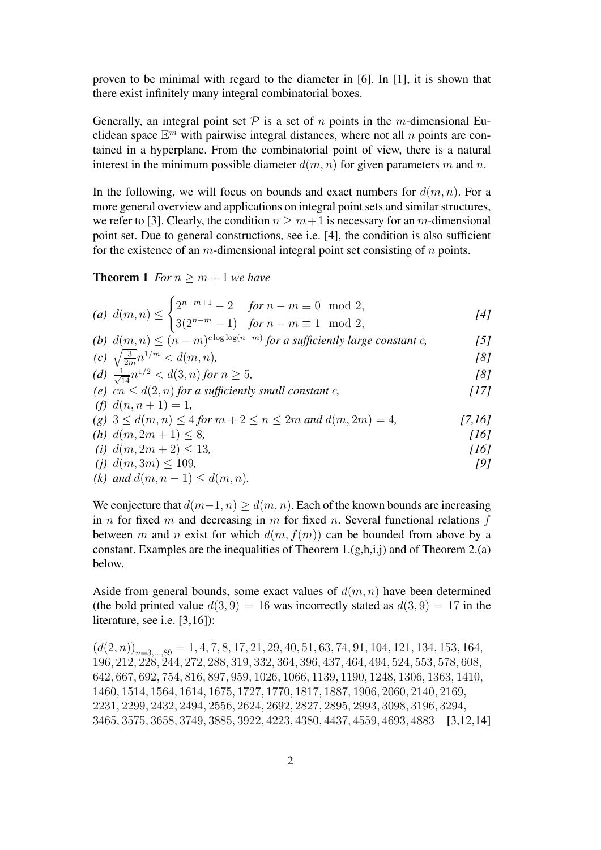proven to be minimal with regard to the diameter in [6]. In [1], it is shown that there exist infinitely many integral combinatorial boxes.

Generally, an integral point set  $P$  is a set of n points in the m-dimensional Euclidean space  $\mathbb{E}^m$  with pairwise integral distances, where not all n points are contained in a hyperplane. From the combinatorial point of view, there is a natural interest in the minimum possible diameter  $d(m, n)$  for given parameters m and n.

In the following, we will focus on bounds and exact numbers for  $d(m, n)$ . For a more general overview and applications on integral point sets and similar structures, we refer to [3]. Clearly, the condition  $n \geq m+1$  is necessary for an m-dimensional point set. Due to general constructions, see i.e. [4], the condition is also sufficient for the existence of an  $m$ -dimensional integral point set consisting of  $n$  points.

**Theorem 1** *For*  $n \geq m + 1$  *we have* 

(a) 
$$
d(m, n) \leq \begin{cases} 2^{n-m+1} - 2 & \text{for } n - m \equiv 0 \mod 2, \\ 3(2^{n-m} - 1) & \text{for } n - m \equiv 1 \mod 2, \end{cases}
$$
 [4]

(b) 
$$
d(\underline{m}, n) \leq (n - m)^{c \log \log (n - m)}
$$
 for a sufficiently large constant c, [5]

(c) 
$$
\sqrt{\frac{3}{2m}} n^{1/m} < d(m, n)
$$
, [8]  
(d)  $\frac{1}{\sqrt{14}} n^{1/2} < d(3, n)$  for  $n \ge 5$ ,  
(e)  $cn \le d(2, n)$  for a sufficiently small constant c,  
(f)  $d(n, n + 1) - 1$ 

$$
(g) \ 3 \le d(m, n) \le 4 \text{ for } m+2 \le n \le 2m \text{ and } d(m, 2m) = 4,
$$
 [7,16]

(h) 
$$
d(m, 2m + 1) \leq 8
$$
,

\n(i)  $d(m, 2m + 2) \leq 13$ ,

\n[16]

(j) 
$$
d(m, 3m) \le 109
$$
, (9)

(k) and 
$$
d(m, n-1) \leq d(m, n)
$$
.

We conjecture that  $d(m-1, n) \geq d(m, n)$ . Each of the known bounds are increasing in n for fixed m and decreasing in m for fixed n. Several functional relations  $f$ between m and n exist for which  $d(m, f(m))$  can be bounded from above by a constant. Examples are the inequalities of Theorem 1. $(g,h,i,j)$  and of Theorem 2.(a) below.

Aside from general bounds, some exact values of  $d(m, n)$  have been determined (the bold printed value  $d(3, 9) = 16$  was incorrectly stated as  $d(3, 9) = 17$  in the literature, see i.e. [3,16]):

 $(d(2, n))_{n=3,\dots,89} = 1, 4, 7, 8, 17, 21, 29, 40, 51, 63, 74, 91, 104, 121, 134, 153, 164,$ , 212, 228, 244, 272, 288, 319, 332, 364, 396, 437, 464, 494, 524, 553, 578, 608, , 667, 692, 754, 816, 897, 959, 1026, 1066, 1139, 1190, 1248, 1306, 1363, 1410, , 1514, 1564, 1614, 1675, 1727, 1770, 1817, 1887, 1906, 2060, 2140, 2169, , 2299, 2432, 2494, 2556, 2624, 2692, 2827, 2895, 2993, 3098, 3196, 3294, , 3575, 3658, 3749, 3885, 3922, 4223, 4380, 4437, 4559, 4693, 4883 [3,12,14]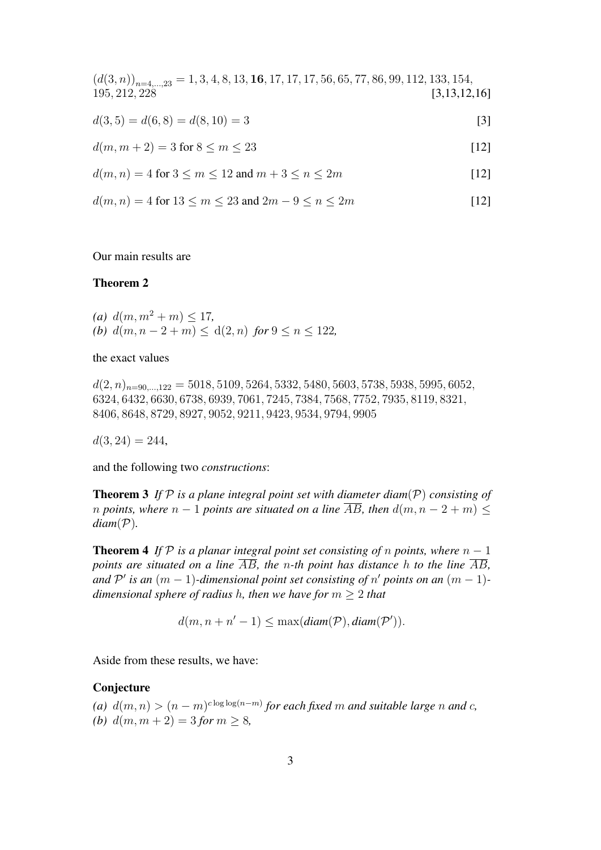$(d(3, n))_{n=4,\dots,23} = 1, 3, 4, 8, 13, 16, 17, 17, 17, 56, 65, 77, 86, 99, 112, 133, 154,$ <br>195, 212, 228 [3,13,12,  $[3, 13, 12, 16]$  $d(3,5) = d(6,8) = d(8,10) = 3$  [3]  $d(m, m + 2) = 3$  for  $8 \le m \le 23$  [12]  $d(m, n) = 4$  for  $3 \le m \le 12$  and  $m + 3 \le n \le 2m$  [12]  $d(m, n) = 4$  for  $13 \le m \le 23$  and  $2m - 9 \le n \le 2m$  [12]

Our main results are

## Theorem 2

(a)  $d(m, m^2 + m) \le 17$ , *(b)*  $d(m, n - 2 + m) < d(2, n)$  *for*  $9 \le n \le 122$ *,* 

the exact values

 $d(2, n)_{n=90,\dots,122} = 5018, 5109, 5264, 5332, 5480, 5603, 5738, 5938, 5995, 6052,$ 6324, 6432, 6630, 6738, 6939, 7061, 7245, 7384, 7568, 7752, 7935, 8119, 8321, 8406, 8648, 8729, 8927, 9052, 9211, 9423, 9534, 9794, 9905

 $d(3, 24) = 244$ 

and the following two *constructions*:

Theorem 3 *If* P *is a plane integral point set with diameter diam*(P) *consisting of n* points, where  $n - 1$  points are situated on a line  $\overline{AB}$ , then  $d(m, n - 2 + m) \leq$  $diam(\mathcal{P})$ .

**Theorem 4** *If*  $P$  *is a planar integral point set consisting of n points, where*  $n - 1$ *points are situated on a line*  $\overline{AB}$ , the *n*-th point has distance h to the line  $\overline{AB}$ , *and*  $\mathcal{P}'$  *is an*  $(m-1)$ *-dimensional point set consisting of*  $n'$  *points on an*  $(m-1)$ *dimensional sphere of radius* h*, then we have for* m ≥ 2 *that*

 $d(m, n + n' - 1) \leq \max(\text{diam}(\mathcal{P}), \text{diam}(\mathcal{P}')).$ 

Aside from these results, we have:

#### Conjecture

(a)  $d(m, n) > (n - m)^{c \log \log (n - m)}$  for each fixed m and suitable large n and c, *(b)*  $d(m, m + 2) = 3$  *for*  $m \geq 8$ *,*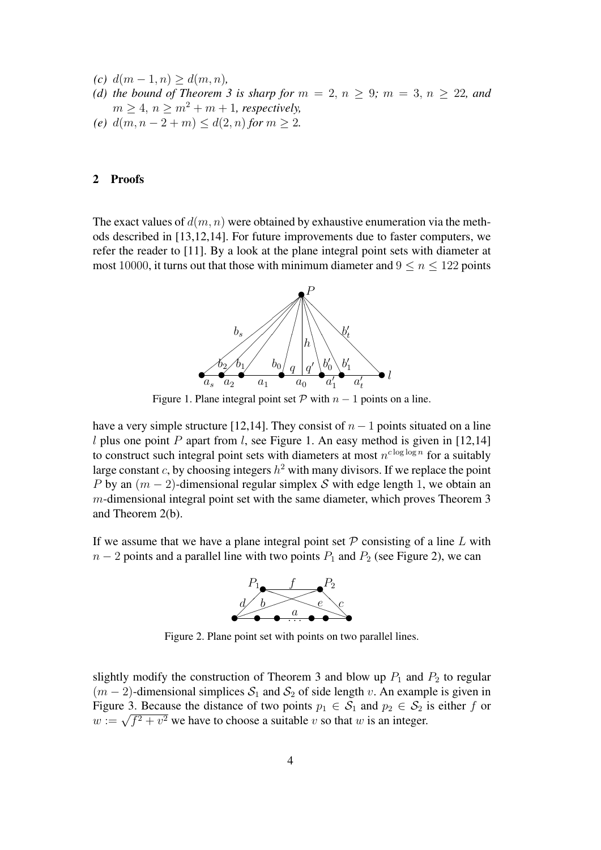- *(c)*  $d(m − 1, n) ≥ d(m, n)$ ,
- *(d) the bound of Theorem 3 is sharp for*  $m = 2, n \geq 9$ ;  $m = 3, n \geq 22$ , and  $m \geq 4$ ,  $n \geq m^2 + m + 1$ , respectively,
- *(e)*  $d(m, n-2+m) \leq d(2, n)$  *for*  $m \geq 2$ *.*

#### 2 Proofs

The exact values of  $d(m, n)$  were obtained by exhaustive enumeration via the methods described in [13,12,14]. For future improvements due to faster computers, we refer the reader to [11]. By a look at the plane integral point sets with diameter at most 10000, it turns out that those with minimum diameter and  $9 \le n \le 122$  points



Figure 1. Plane integral point set  $P$  with  $n - 1$  points on a line.

have a very simple structure [12,14]. They consist of  $n-1$  points situated on a line l plus one point P apart from l, see Figure 1. An easy method is given in [12,14] to construct such integral point sets with diameters at most  $n^{c \log \log n}$  for a suitably large constant c, by choosing integers  $h^2$  with many divisors. If we replace the point P by an  $(m-2)$ -dimensional regular simplex S with edge length 1, we obtain an m-dimensional integral point set with the same diameter, which proves Theorem 3 and Theorem 2(b).

If we assume that we have a plane integral point set  $P$  consisting of a line  $L$  with  $n-2$  points and a parallel line with two points  $P_1$  and  $P_2$  (see Figure 2), we can



Figure 2. Plane point set with points on two parallel lines.

slightly modify the construction of Theorem 3 and blow up  $P_1$  and  $P_2$  to regular  $(m-2)$ -dimensional simplices  $S_1$  and  $S_2$  of side length v. An example is given in Figure 3. Because the distance of two points  $p_1 \in S_1$  and  $p_2 \in S_2$  is either f or Figure 5. Because the distance of two points  $p_1 \in S_1$  and  $p_2 \in S_2$  i<br>  $w := \sqrt{f^2 + v^2}$  we have to choose a suitable v so that w is an integer.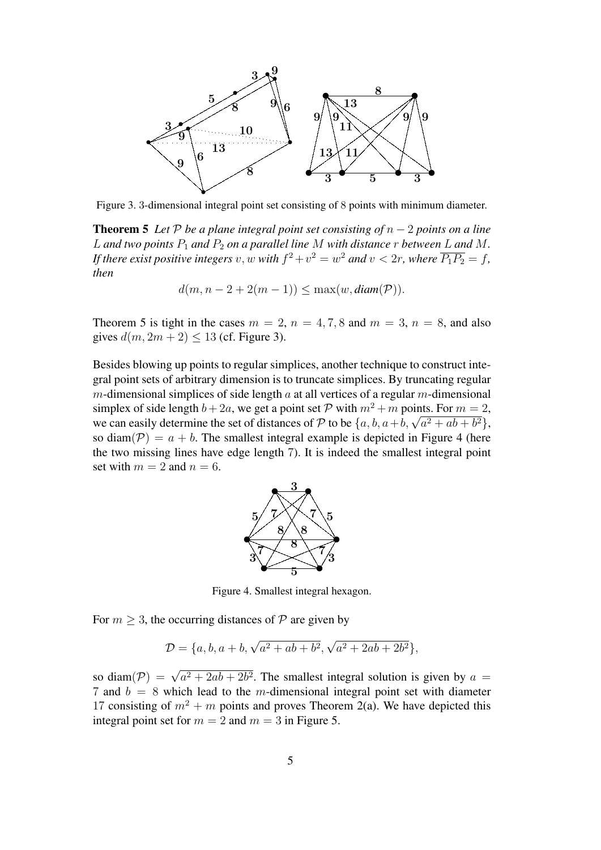

Figure 3. 3-dimensional integral point set consisting of 8 points with minimum diameter.

**Theorem 5** *Let*  $P$  *be a plane integral point set consisting of*  $n - 2$  *points on a line* L and two points  $P_1$  and  $P_2$  on a parallel line M with distance r between L and M. If there exist positive integers  $v, w$  with  $f^2 + v^2 = w^2$  and  $v < 2r$ , where  $\overline{P_1P_2} = f$ , *then*

$$
d(m, n-2+2(m-1)) \le \max(w, \text{diam}(\mathcal{P})).
$$

Theorem 5 is tight in the cases  $m = 2$ ,  $n = 4, 7, 8$  and  $m = 3$ ,  $n = 8$ , and also gives  $d(m, 2m + 2) < 13$  (cf. Figure 3).

Besides blowing up points to regular simplices, another technique to construct integral point sets of arbitrary dimension is to truncate simplices. By truncating regular m-dimensional simplices of side length  $\alpha$  at all vertices of a regular m-dimensional simplex of side length  $b + 2a$ , we get a point set P with  $m^2 + m$  points. For  $m = 2$ , simplex or side length  $b + 2a$ , we get a point set P with  $m^2 + m$  points. For  $m = 2$ , we can easily determine the set of distances of P to be  $\{a, b, a+b, \sqrt{a^2 + ab + b^2}\}\$ , so diam( $P$ ) = a + b. The smallest integral example is depicted in Figure 4 (here the two missing lines have edge length 7). It is indeed the smallest integral point set with  $m = 2$  and  $n = 6$ .



Figure 4. Smallest integral hexagon.

For  $m \geq 3$ , the occurring distances of P are given by

$$
\mathcal{D} = \{a, b, a+b, \sqrt{a^2 + ab + b^2}, \sqrt{a^2 + 2ab + 2b^2}\},\
$$

so diam( $P$ ) =  $\sqrt{a^2 + 2ab + 2b^2}$ . The smallest integral solution is given by  $a$  = 7 and  $b = 8$  which lead to the m-dimensional integral point set with diameter 17 consisting of  $m^2 + m$  points and proves Theorem 2(a). We have depicted this integral point set for  $m = 2$  and  $m = 3$  in Figure 5.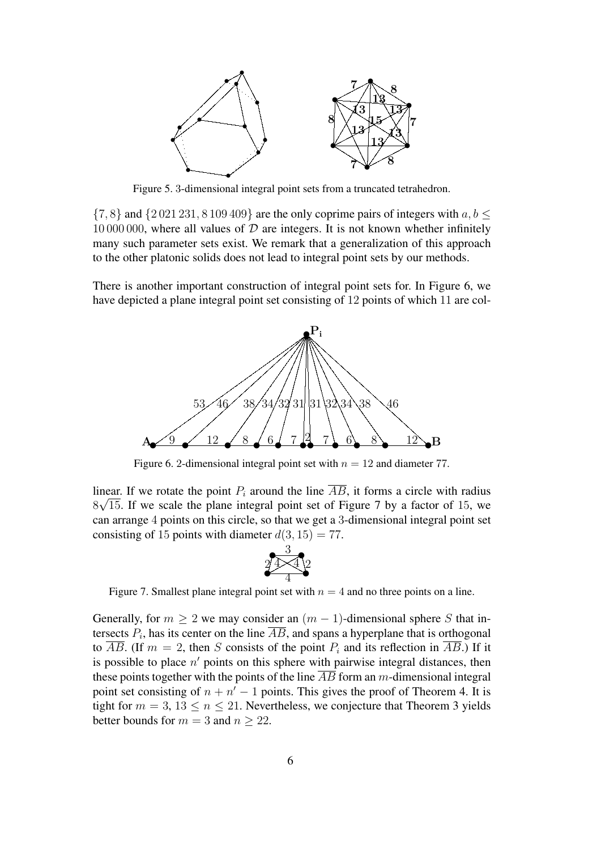

Figure 5. 3-dimensional integral point sets from a truncated tetrahedron.

 $\{7, 8\}$  and  $\{2021231, 8109409\}$  are the only coprime pairs of integers with  $a, b \leq$ 10 000 000, where all values of  $D$  are integers. It is not known whether infinitely many such parameter sets exist. We remark that a generalization of this approach to the other platonic solids does not lead to integral point sets by our methods.

There is another important construction of integral point sets for. In Figure 6, we have depicted a plane integral point set consisting of 12 points of which 11 are col-



Figure 6. 2-dimensional integral point set with  $n = 12$  and diameter 77.

linear. If we rotate the point  $P_i$  around the line  $\overline{AB}$ , it forms a circle with radius  $8\sqrt{15}$ . If we scale the plane integral point set of Figure 7 by a factor of 15, we can arrange 4 points on this circle, so that we get a 3-dimensional integral point set consisting of 15 points with diameter  $d(3, 15) = 77$ .



Figure 7. Smallest plane integral point set with  $n = 4$  and no three points on a line.

Generally, for  $m \geq 2$  we may consider an  $(m - 1)$ -dimensional sphere S that intersects  $P_i$ , has its center on the line  $\overline{AB}$ , and spans a hyperplane that is orthogonal to  $\overline{AB}$ . (If  $m = 2$ , then S consists of the point  $P_i$  and its reflection in  $\overline{AB}$ .) If it is possible to place  $n'$  points on this sphere with pairwise integral distances, then these points together with the points of the line  $\overline{AB}$  form an m-dimensional integral point set consisting of  $n + n' - 1$  points. This gives the proof of Theorem 4. It is tight for  $m = 3, 13 \le n \le 21$ . Nevertheless, we conjecture that Theorem 3 yields better bounds for  $m = 3$  and  $n \ge 22$ .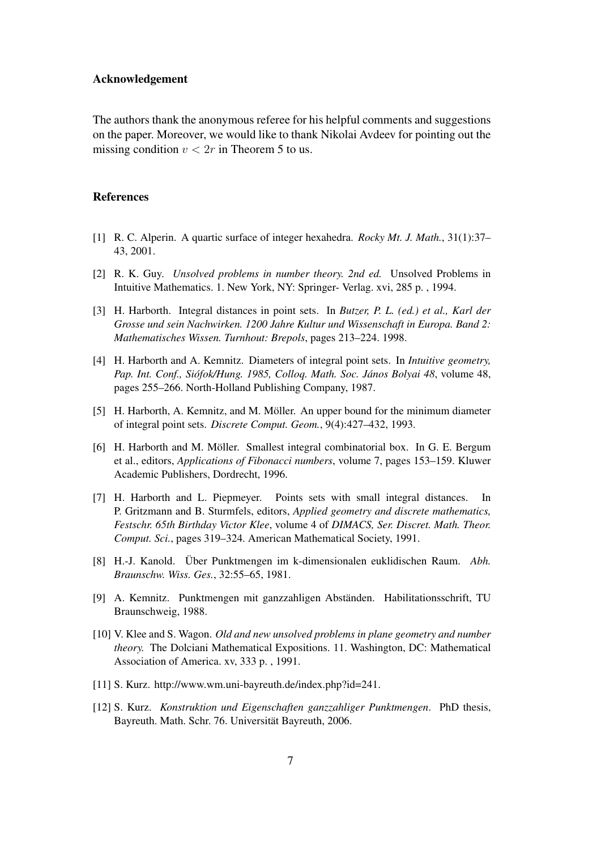### Acknowledgement

The authors thank the anonymous referee for his helpful comments and suggestions on the paper. Moreover, we would like to thank Nikolai Avdeev for pointing out the missing condition  $v < 2r$  in Theorem 5 to us.

## References

- [1] R. C. Alperin. A quartic surface of integer hexahedra. *Rocky Mt. J. Math.*, 31(1):37– 43, 2001.
- [2] R. K. Guy. *Unsolved problems in number theory. 2nd ed.* Unsolved Problems in Intuitive Mathematics. 1. New York, NY: Springer- Verlag. xvi, 285 p. , 1994.
- [3] H. Harborth. Integral distances in point sets. In *Butzer, P. L. (ed.) et al., Karl der Grosse und sein Nachwirken. 1200 Jahre Kultur und Wissenschaft in Europa. Band 2: Mathematisches Wissen. Turnhout: Brepols*, pages 213–224. 1998.
- [4] H. Harborth and A. Kemnitz. Diameters of integral point sets. In *Intuitive geometry, Pap. Int. Conf., Siofok/Hung. 1985, Colloq. Math. Soc. J ´ anos Bolyai 48 ´* , volume 48, pages 255–266. North-Holland Publishing Company, 1987.
- [5] H. Harborth, A. Kemnitz, and M. Möller. An upper bound for the minimum diameter of integral point sets. *Discrete Comput. Geom.*, 9(4):427–432, 1993.
- [6] H. Harborth and M. Möller. Smallest integral combinatorial box. In G. E. Bergum et al., editors, *Applications of Fibonacci numbers*, volume 7, pages 153–159. Kluwer Academic Publishers, Dordrecht, 1996.
- [7] H. Harborth and L. Piepmeyer. Points sets with small integral distances. In P. Gritzmann and B. Sturmfels, editors, *Applied geometry and discrete mathematics, Festschr. 65th Birthday Victor Klee*, volume 4 of *DIMACS, Ser. Discret. Math. Theor. Comput. Sci.*, pages 319–324. American Mathematical Society, 1991.
- [8] H.-J. Kanold. Uber Punktmengen im k-dimensionalen euklidischen Raum. ¨ *Abh. Braunschw. Wiss. Ges.*, 32:55–65, 1981.
- [9] A. Kemnitz. Punktmengen mit ganzzahligen Abständen. Habilitationsschrift, TU Braunschweig, 1988.
- [10] V. Klee and S. Wagon. *Old and new unsolved problems in plane geometry and number theory.* The Dolciani Mathematical Expositions. 11. Washington, DC: Mathematical Association of America. xv, 333 p. , 1991.
- [11] S. Kurz. http://www.wm.uni-bayreuth.de/index.php?id=241.
- [12] S. Kurz. *Konstruktion und Eigenschaften ganzzahliger Punktmengen*. PhD thesis, Bayreuth. Math. Schr. 76. Universität Bayreuth, 2006.